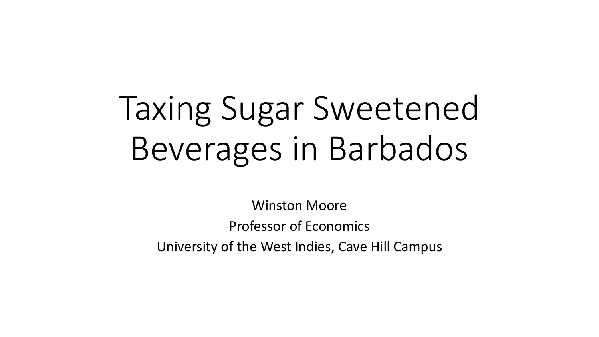# Taxing Sugar Sweetened Beverages in Barbados

Winston Moore Professor of Economics University of the West Indies, Cave Hill Campus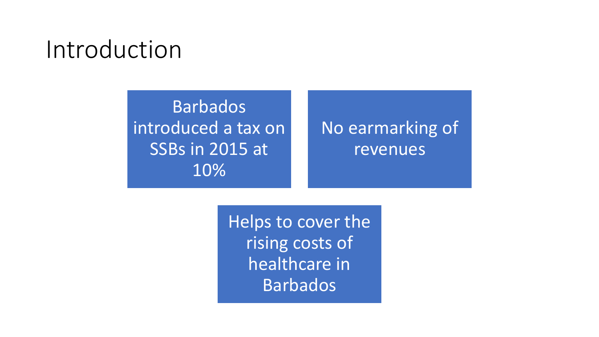Barbados introduced a tax on SSBs in 2015 at 10%

No earmarking of revenues

Helps to cover the rising costs of healthcare in **Barbados**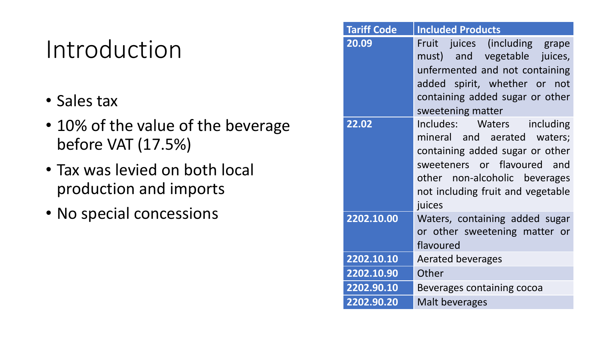- Sales tax
- 10% of the value of the beverage before VAT (17.5%)
- Tax was levied on both local production and imports
- No special concessions

| <b>Tariff Code</b> | <b>Included Products</b>                                                                                                                                                                                    |  |
|--------------------|-------------------------------------------------------------------------------------------------------------------------------------------------------------------------------------------------------------|--|
| 20.09              | Fruit juices (including grape<br>must) and vegetable juices,<br>unfermented and not containing<br>added spirit, whether or not<br>containing added sugar or other<br>sweetening matter                      |  |
| 22.02              | Includes: Waters including<br>mineral and aerated waters;<br>containing added sugar or other<br>sweeteners or flavoured and<br>other non-alcoholic beverages<br>not including fruit and vegetable<br>juices |  |
| 2202.10.00         | Waters, containing added sugar<br>or other sweetening matter or<br>flavoured                                                                                                                                |  |
| 2202.10.10         | <b>Aerated beverages</b>                                                                                                                                                                                    |  |
| 2202.10.90         | Other                                                                                                                                                                                                       |  |
| 2202.90.10         | Beverages containing cocoa                                                                                                                                                                                  |  |
| 2202.90.20         | <b>Malt beverages</b>                                                                                                                                                                                       |  |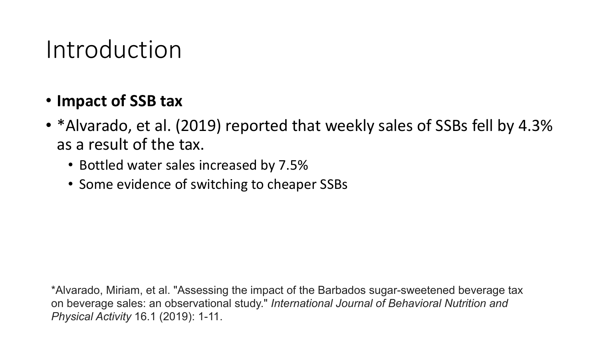#### • **Impact of SSB tax**

- \*Alvarado, et al. (2019) reported that weekly sales of SSBs fell by 4.3% as a result of the tax.
	- Bottled water sales increased by 7.5%
	- Some evidence of switching to cheaper SSBs

\*Alvarado, Miriam, et al. "Assessing the impact of the Barbados sugar-sweetened beverage tax on beverage sales: an observational study." *International Journal of Behavioral Nutrition and Physical Activity* 16.1 (2019): 1-11.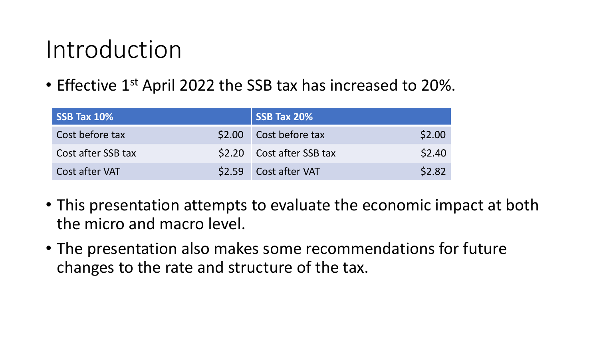• Effective 1<sup>st</sup> April 2022 the SSB tax has increased to 20%.

| SSB Tax 10%        | SSB Tax 20%               |        |
|--------------------|---------------------------|--------|
| Cost before tax    | \$2.00 Cost before tax    | \$2.00 |
| Cost after SSB tax | \$2.20 Cost after SSB tax | \$2.40 |
| Cost after VAT     | \$2.59 Cost after VAT     | \$2.82 |

- This presentation attempts to evaluate the economic impact at both the micro and macro level.
- The presentation also makes some recommendations for future changes to the rate and structure of the tax.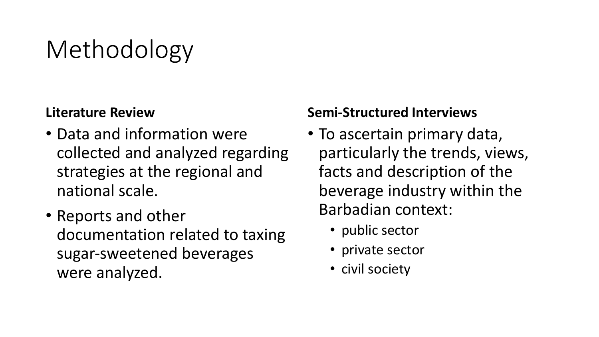# Methodology

#### **Literature Review**

- Data and information were collected and analyzed regarding strategies at the regional and national scale.
- Reports and other documentation related to taxing sugar-sweetened beverages were analyzed.

#### **Semi-Structured Interviews**

- To ascertain primary data, particularly the trends, views, facts and description of the beverage industry within the Barbadian context:
	- public sector
	- private sector
	- civil society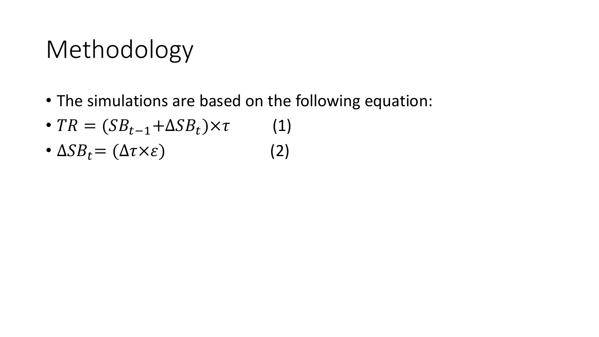# Methodology

- The simulations are based on the following equation:
- $TR = (SB_{t-1} + \Delta SB_t) \times \tau$  (1)
- $\Delta SB_t = (\Delta \tau \times \varepsilon)$  (2)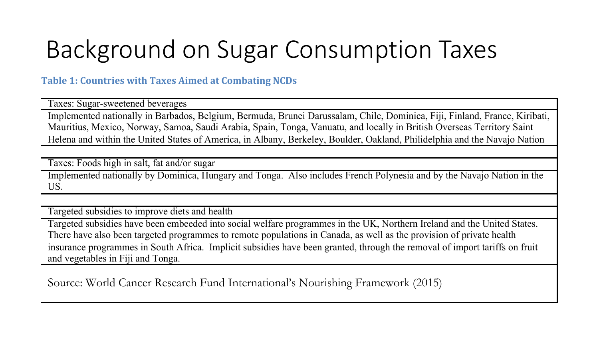# Background on Sugar Consumption Taxes

**Table 1: Countries with Taxes Aimed at Combating NCDs** 

Taxes: Sugar-sweetened beverages

Implemented nationally in Barbados, Belgium, Bermuda, Brunei Darussalam, Chile, Dominica, Fiji, Finland, France, Kiribati, Mauritius, Mexico, Norway, Samoa, Saudi Arabia, Spain, Tonga, Vanuatu, and locally in British Overseas Territory Saint Helena and within the United States of America, in Albany, Berkeley, Boulder, Oakland, Philidelphia and the Navajo Nation

Taxes: Foods high in salt, fat and/or sugar

Implemented nationally by Dominica, Hungary and Tonga. Also includes French Polynesia and by the Navajo Nation in the US.

Targeted subsidies to improve diets and health

Targeted subsidies have been embeeded into social welfare programmes in the UK, Northern Ireland and the United States. There have also been targeted programmes to remote populations in Canada, as well as the provision of private health insurance programmes in South Africa. Implicit subsidies have been granted, through the removal of import tariffs on fruit and vegetables in Fiji and Tonga.

Source: World Cancer Research Fund International's Nourishing Framework (2015)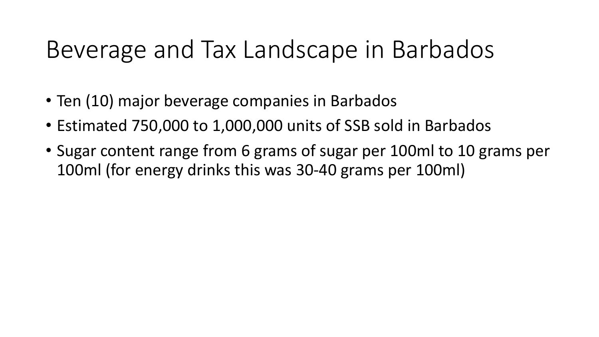# Beverage and Tax Landscape in Barbados

- Ten (10) major beverage companies in Barbados
- Estimated 750,000 to 1,000,000 units of SSB sold in Barbados
- Sugar content range from 6 grams of sugar per 100ml to 10 grams per 100ml (for energy drinks this was 30-40 grams per 100ml)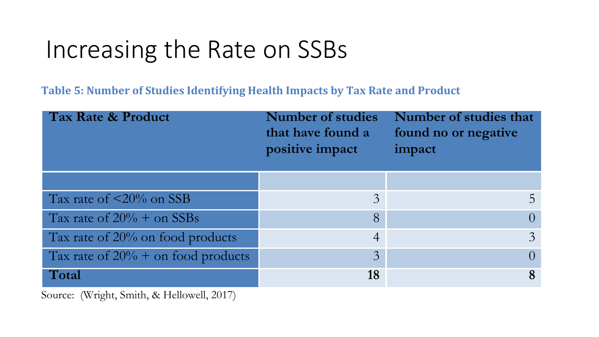**Table 5: Number of Studies Identifying Health Impacts by Tax Rate and Product** 

| <b>Tax Rate &amp; Product</b>        | <b>Number of studies</b><br>that have found a<br>positive impact | Number of studies that<br>found no or negative<br>impact |
|--------------------------------------|------------------------------------------------------------------|----------------------------------------------------------|
|                                      |                                                                  |                                                          |
| Tax rate of $\leq$ 20% on SSB        | $\mathfrak{Z}$                                                   |                                                          |
| Tax rate of $20\%$ + on SSBs         | 8                                                                |                                                          |
| Tax rate of $20\%$ on food products  | $\overline{4}$                                                   | $\mathcal{E}$                                            |
| Tax rate of $20%$ + on food products | $\overline{3}$                                                   |                                                          |
| Total                                | 18                                                               |                                                          |

Source: (Wright, Smith, & Hellowell, 2017)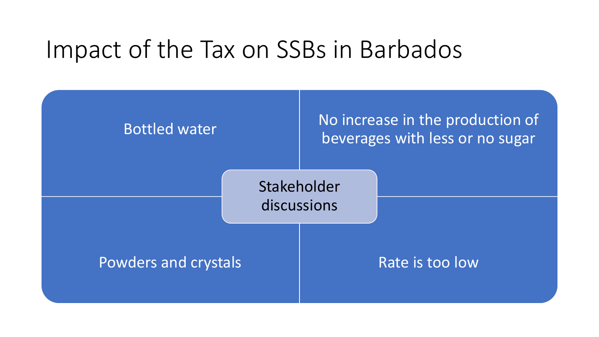# Impact of the Tax on SSBs in Barbados

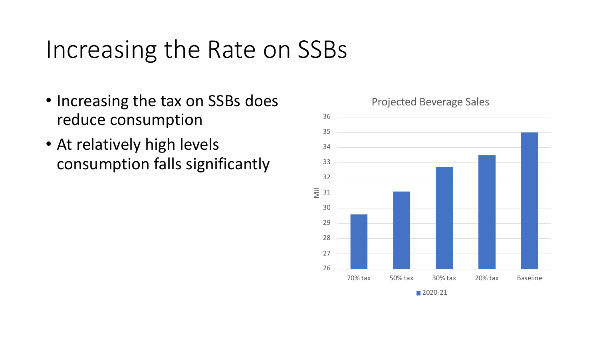- Increasing the tax on SSBs does reduce consumption
- At relatively high levels consumption falls significantly

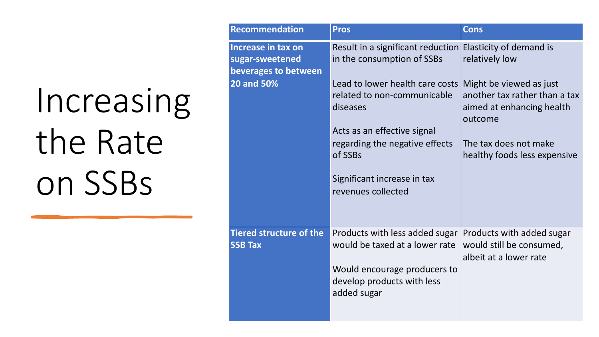| <b>Recommendation</b>                                         | <b>Pros</b>                                                                                                                                                                                                                         | <b>Cons</b>                                                                                                                    |
|---------------------------------------------------------------|-------------------------------------------------------------------------------------------------------------------------------------------------------------------------------------------------------------------------------------|--------------------------------------------------------------------------------------------------------------------------------|
| Increase in tax on<br>sugar-sweetened<br>beverages to between | Result in a significant reduction Elasticity of demand is<br>in the consumption of SSBs                                                                                                                                             | relatively low                                                                                                                 |
| <b>20 and 50%</b>                                             | Lead to lower health care costs Might be viewed as just<br>related to non-communicable<br>diseases<br>Acts as an effective signal<br>regarding the negative effects<br>of SSBs<br>Significant increase in tax<br>revenues collected | another tax rather than a tax<br>aimed at enhancing health<br>outcome<br>The tax does not make<br>healthy foods less expensive |
| <b>Tiered structure of the</b><br><b>SSB Tax</b>              | Products with less added sugar Products with added sugar<br>would be taxed at a lower rate would still be consumed,<br>Would encourage producers to<br>develop products with less<br>added sugar                                    | albeit at a lower rate                                                                                                         |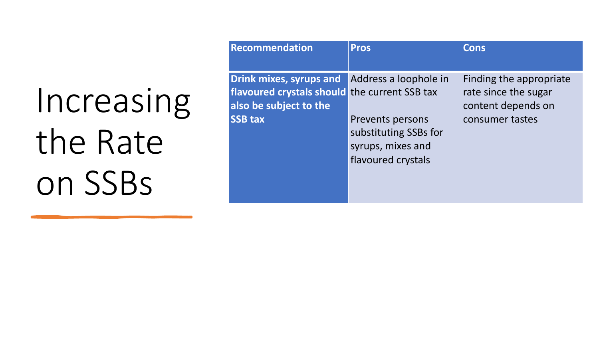| Recommendation                                                                                                       | <b>Pros</b>                                                                                                          | <b>Cons</b>                                                                              |
|----------------------------------------------------------------------------------------------------------------------|----------------------------------------------------------------------------------------------------------------------|------------------------------------------------------------------------------------------|
| Drink mixes, syrups and<br>flavoured crystals should the current SSB tax<br>also be subject to the<br><b>SSB tax</b> | Address a loophole in<br><b>Prevents persons</b><br>substituting SSBs for<br>syrups, mixes and<br>flavoured crystals | Finding the appropriate<br>rate since the sugar<br>content depends on<br>consumer tastes |